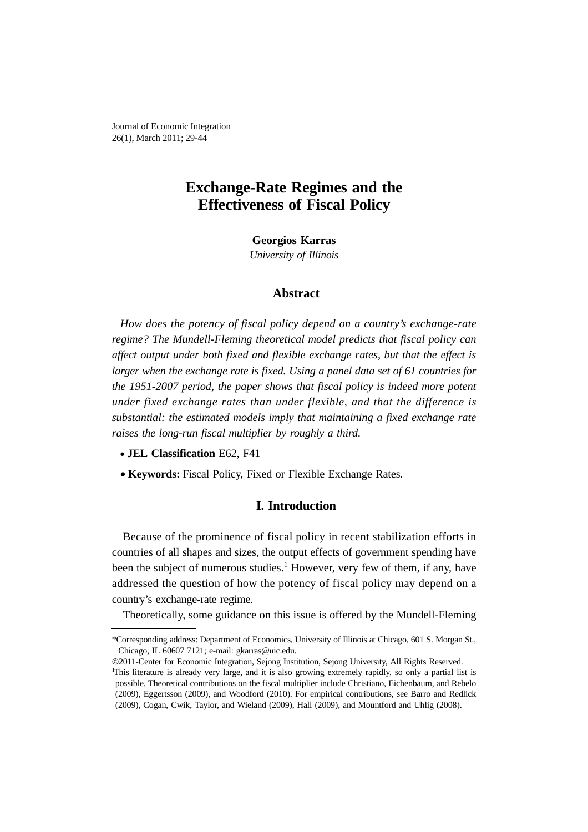Journal of Economic Integration 26(1), March 2011; 29-44

# **Exchange-Rate Regimes and the Effectiveness of Fiscal Policy**

**Georgios Karras** *University of Illinois*

# **Abstract**

*How does the potency of fiscal policy depend on a country's exchange-rate regime? The Mundell-Fleming theoretical model predicts that fiscal policy can affect output under both fixed and flexible exchange rates, but that the effect is larger when the exchange rate is fixed. Using a panel data set of 61 countries for the 1951-2007 period, the paper shows that fiscal policy is indeed more potent under fixed exchange rates than under flexible, and that the difference is substantial: the estimated models imply that maintaining a fixed exchange rate raises the long-run fiscal multiplier by roughly a third.*

- **JEL Classification** E62, F41
- **Keywords:** Fiscal Policy, Fixed or Flexible Exchange Rates.

### **I. Introduction**

Because of the prominence of fiscal policy in recent stabilization efforts in countries of all shapes and sizes, the output effects of government spending have been the subject of numerous studies.<sup>1</sup> However, very few of them, if any, have addressed the question of how the potency of fiscal policy may depend on a country's exchange-rate regime.

Theoretically, some guidance on this issue is offered by the Mundell-Fleming

<sup>\*</sup>Corresponding address: Department of Economics, University of Illinois at Chicago, 601 S. Morgan St., Chicago, IL 60607 7121; e-mail: gkarras@uic.edu.

<sup>©</sup>2011-Center for Economic Integration, Sejong Institution, Sejong University, All Rights Reserved. <sup>1</sup>This literature is already very large, and it is also growing extremely rapidly, so only a partial list is possible. Theoretical contributions on the fiscal multiplier include Christiano, Eichenbaum, and Rebelo (2009), Eggertsson (2009), and Woodford (2010). For empirical contributions, see Barro and Redlick (2009), Cogan, Cwik, Taylor, and Wieland (2009), Hall (2009), and Mountford and Uhlig (2008).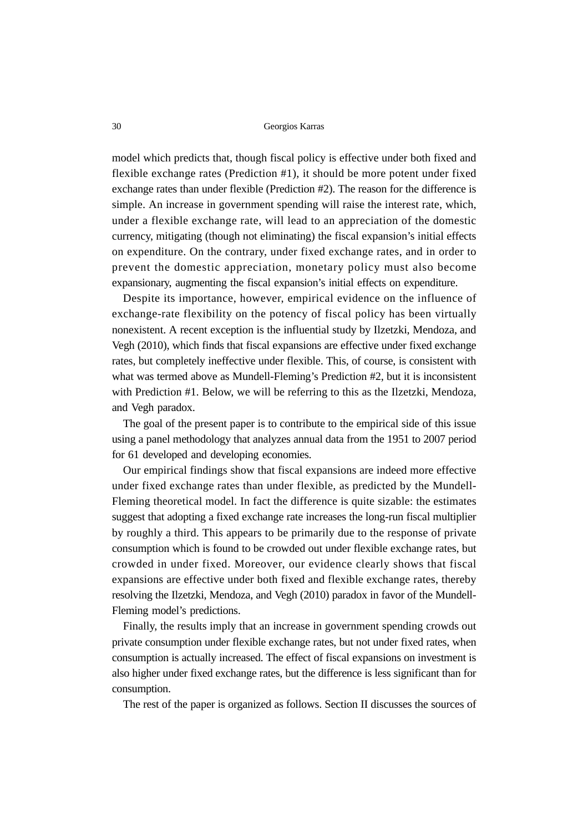model which predicts that, though fiscal policy is effective under both fixed and flexible exchange rates (Prediction #1), it should be more potent under fixed exchange rates than under flexible (Prediction #2). The reason for the difference is simple. An increase in government spending will raise the interest rate, which, under a flexible exchange rate, will lead to an appreciation of the domestic currency, mitigating (though not eliminating) the fiscal expansion's initial effects on expenditure. On the contrary, under fixed exchange rates, and in order to prevent the domestic appreciation, monetary policy must also become expansionary, augmenting the fiscal expansion's initial effects on expenditure.

Despite its importance, however, empirical evidence on the influence of exchange-rate flexibility on the potency of fiscal policy has been virtually nonexistent. A recent exception is the influential study by Ilzetzki, Mendoza, and Vegh (2010), which finds that fiscal expansions are effective under fixed exchange rates, but completely ineffective under flexible. This, of course, is consistent with what was termed above as Mundell-Fleming's Prediction #2, but it is inconsistent with Prediction #1. Below, we will be referring to this as the Ilzetzki, Mendoza, and Vegh paradox.

The goal of the present paper is to contribute to the empirical side of this issue using a panel methodology that analyzes annual data from the 1951 to 2007 period for 61 developed and developing economies.

Our empirical findings show that fiscal expansions are indeed more effective under fixed exchange rates than under flexible, as predicted by the Mundell-Fleming theoretical model. In fact the difference is quite sizable: the estimates suggest that adopting a fixed exchange rate increases the long-run fiscal multiplier by roughly a third. This appears to be primarily due to the response of private consumption which is found to be crowded out under flexible exchange rates, but crowded in under fixed. Moreover, our evidence clearly shows that fiscal expansions are effective under both fixed and flexible exchange rates, thereby resolving the Ilzetzki, Mendoza, and Vegh (2010) paradox in favor of the Mundell-Fleming model's predictions.

Finally, the results imply that an increase in government spending crowds out private consumption under flexible exchange rates, but not under fixed rates, when consumption is actually increased. The effect of fiscal expansions on investment is also higher under fixed exchange rates, but the difference is less significant than for consumption.

The rest of the paper is organized as follows. Section II discusses the sources of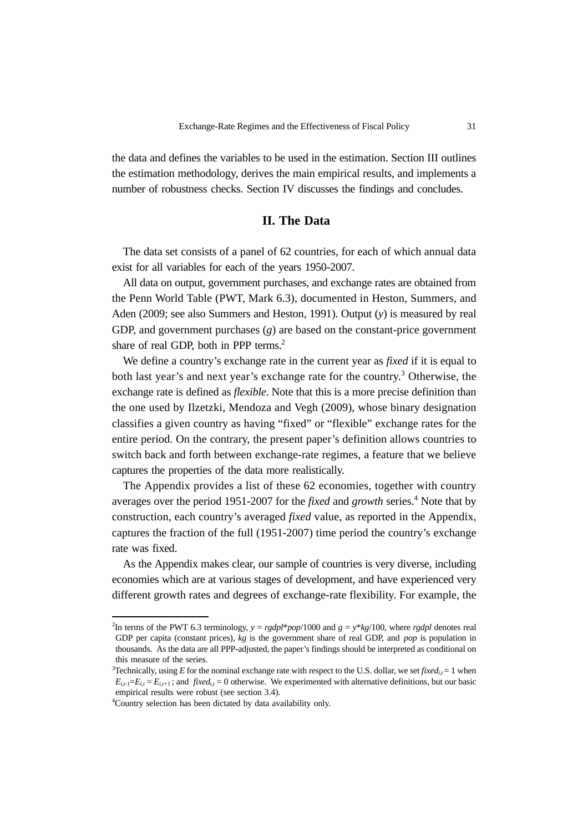the data and defines the variables to be used in the estimation. Section III outlines the estimation methodology, derives the main empirical results, and implements a number of robustness checks. Section IV discusses the findings and concludes.

## **II. The Data**

The data set consists of a panel of 62 countries, for each of which annual data exist for all variables for each of the years 1950-2007.

All data on output, government purchases, and exchange rates are obtained from the Penn World Table (PWT, Mark 6.3), documented in Heston, Summers, and Aden (2009; see also Summers and Heston, 1991). Output (*y*) is measured by real GDP, and government purchases (*g*) are based on the constant-price government share of real GDP, both in PPP terms.<sup>2</sup>

We define a country's exchange rate in the current year as *fixed* if it is equal to both last year's and next year's exchange rate for the country.<sup>3</sup> Otherwise, the exchange rate is defined as *flexible*. Note that this is a more precise definition than the one used by Ilzetzki, Mendoza and Vegh (2009), whose binary designation classifies a given country as having "fixed" or "flexible" exchange rates for the entire period. On the contrary, the present paper's definition allows countries to switch back and forth between exchange-rate regimes, a feature that we believe captures the properties of the data more realistically.

The Appendix provides a list of these 62 economies, together with country averages over the period 1951-2007 for the *fixed* and *growth* series.<sup>4</sup> Note that by construction, each country's averaged *fixed* value, as reported in the Appendix, captures the fraction of the full (1951-2007) time period the country's exchange rate was fixed.

As the Appendix makes clear, our sample of countries is very diverse, including economies which are at various stages of development, and have experienced very different growth rates and degrees of exchange-rate flexibility. For example, the

<sup>&</sup>lt;sup>2</sup>In terms of the PWT 6.3 terminology,  $y = \frac{r}{2}$  *p*<sup> $*$ </sup> *pop*/1000 and  $g = y * kg/100$ , where  $\frac{r}{2}$  denotes real GDP per capita (constant prices), *kg* is the government share of real GDP, and *pop* is population in thousands. As the data are all PPP-adjusted, the paper's findings should be interpreted as conditional on this measure of the series.

<sup>&</sup>lt;sup>3</sup>Technically, using *E* for the nominal exchange rate with respect to the U.S. dollar, we set *fixed*<sub>id</sub> = 1 when  $E_{i,t-1}=E_{i,t}=E_{i,t+1}$ ; and *fixed<sub>i,t</sub>* = 0 otherwise. We experimented with alternative definitions, but our basic empirical results were robust (see section 3.4).

<sup>4</sup> Country selection has been dictated by data availability only.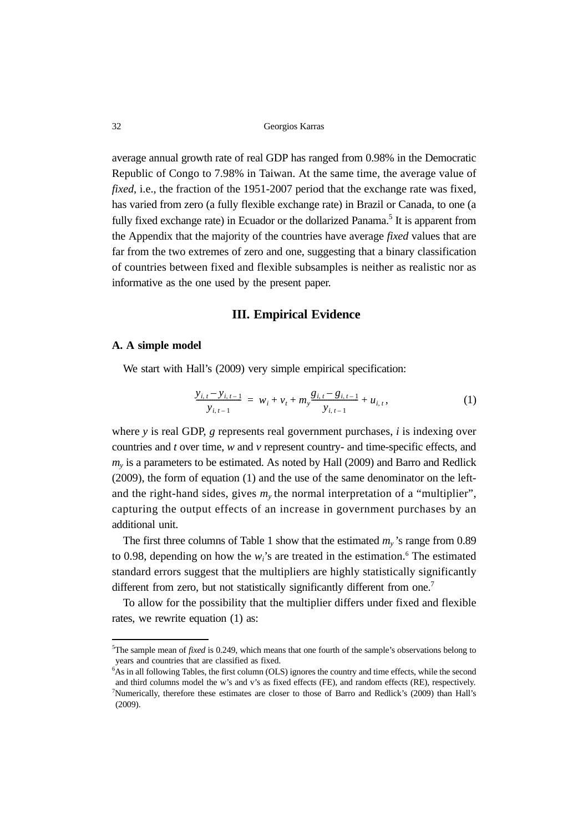average annual growth rate of real GDP has ranged from 0.98% in the Democratic Republic of Congo to 7.98% in Taiwan. At the same time, the average value of *fixed*, i.e., the fraction of the 1951-2007 period that the exchange rate was fixed, has varied from zero (a fully flexible exchange rate) in Brazil or Canada, to one (a fully fixed exchange rate) in Ecuador or the dollarized Panama.<sup>5</sup> It is apparent from the Appendix that the majority of the countries have average *fixed* values that are far from the two extremes of zero and one, suggesting that a binary classification of countries between fixed and flexible subsamples is neither as realistic nor as informative as the one used by the present paper.

#### **III. Empirical Evidence**

#### **A. A simple model**

We start with Hall's (2009) very simple empirical specification:

$$
\frac{y_{i,t} - y_{i,t-1}}{y_{i,t-1}} = w_i + v_t + m_y \frac{g_{i,t} - g_{i,t-1}}{y_{i,t-1}} + u_{i,t},
$$
\n(1)

where *y* is real GDP, *g* represents real government purchases, *i* is indexing over countries and *t* over time, *w* and *v* represent country- and time-specific effects, and  $m<sub>v</sub>$  is a parameters to be estimated. As noted by Hall (2009) and Barro and Redlick (2009), the form of equation (1) and the use of the same denominator on the leftand the right-hand sides, gives  $m<sub>v</sub>$  the normal interpretation of a "multiplier", capturing the output effects of an increase in government purchases by an additional unit.

The first three columns of Table 1 show that the estimated  $m<sub>y</sub>$ 's range from 0.89 to 0.98, depending on how the  $w_i$ 's are treated in the estimation.<sup>6</sup> The estimated standard errors suggest that the multipliers are highly statistically significantly different from zero, but not statistically significantly different from one.<sup>7</sup>

To allow for the possibility that the multiplier differs under fixed and flexible rates, we rewrite equation (1) as:

<sup>5</sup> The sample mean of *fixed* is 0.249, which means that one fourth of the sample's observations belong to years and countries that are classified as fixed.

<sup>6</sup> As in all following Tables, the first column (OLS) ignores the country and time effects, while the second and third columns model the w's and v's as fixed effects (FE), and random effects (RE), respectively. 7 Numerically, therefore these estimates are closer to those of Barro and Redlick's (2009) than Hall's (2009).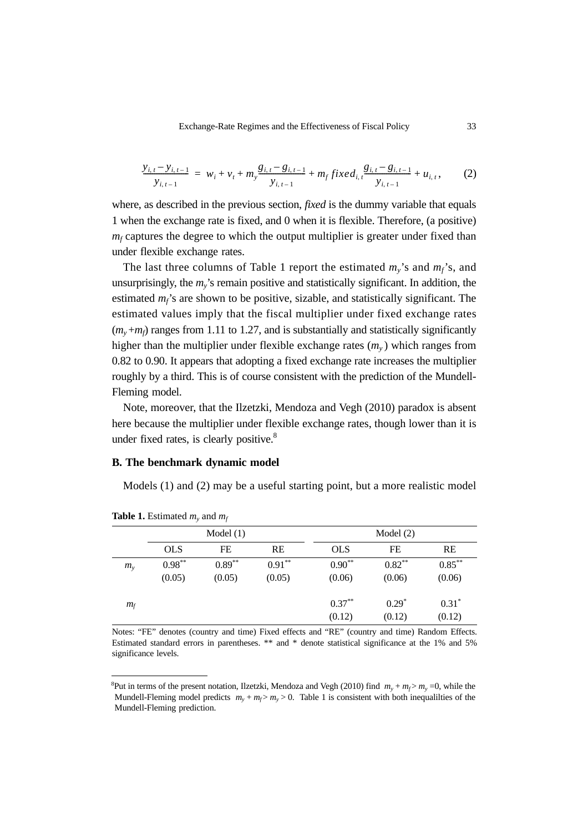$$
\frac{y_{i,t} - y_{i,t-1}}{y_{i,t-1}} = w_i + v_t + m_y \frac{g_{i,t} - g_{i,t-1}}{y_{i,t-1}} + m_f fixed_{i,t} \frac{g_{i,t} - g_{i,t-1}}{y_{i,t-1}} + u_{i,t},
$$
 (2)

where, as described in the previous section, *fixed* is the dummy variable that equals 1 when the exchange rate is fixed, and 0 when it is flexible. Therefore, (a positive)  $m_f$  captures the degree to which the output multiplier is greater under fixed than under flexible exchange rates.

The last three columns of Table 1 report the estimated  $m_v$ 's and  $m_f$ 's, and unsurprisingly, the *my*'s remain positive and statistically significant. In addition, the estimated  $m_f$ 's are shown to be positive, sizable, and statistically significant. The estimated values imply that the fiscal multiplier under fixed exchange rates  $(m_v+m_f)$  ranges from 1.11 to 1.27, and is substantially and statistically significantly higher than the multiplier under flexible exchange rates  $(m<sub>v</sub>)$  which ranges from 0.82 to 0.90. It appears that adopting a fixed exchange rate increases the multiplier roughly by a third. This is of course consistent with the prediction of the Mundell-Fleming model.

Note, moreover, that the Ilzetzki, Mendoza and Vegh (2010) paradox is absent here because the multiplier under flexible exchange rates, though lower than it is under fixed rates, is clearly positive.<sup>8</sup>

#### **B. The benchmark dynamic model**

Models (1) and (2) may be a useful starting point, but a more realistic model

|             | Model(1)   |          |           | Model $(2)$ |           |           |  |
|-------------|------------|----------|-----------|-------------|-----------|-----------|--|
|             | <b>OLS</b> | FE       | <b>RE</b> | <b>OLS</b>  | FE        | RE        |  |
| $m_{\rm v}$ | $0.98***$  | $0.89**$ | $0.91**$  | $0.90**$    | $0.82***$ | $0.85***$ |  |
|             | (0.05)     | (0.05)   | (0.05)    | (0.06)      | (0.06)    | (0.06)    |  |
| $m_f$       |            |          |           | $0.37***$   | $0.29*$   | $0.31*$   |  |
|             |            |          |           | (0.12)      | (0.12)    | (0.12)    |  |

**Table 1.** Estimated  $m_v$  and  $m_f$ 

Notes: "FE" denotes (country and time) Fixed effects and "RE" (country and time) Random Effects. Estimated standard errors in parentheses. \*\* and \* denote statistical significance at the 1% and 5% significance levels.

<sup>&</sup>lt;sup>8</sup>Put in terms of the present notation, Ilzetzki, Mendoza and Vegh (2010) find  $m_y + m_f > m_y = 0$ , while the Mundell-Fleming model predicts  $m_y + m_f > m_y > 0$ . Table 1 is consistent with both inequalities of the Mundell-Fleming prediction.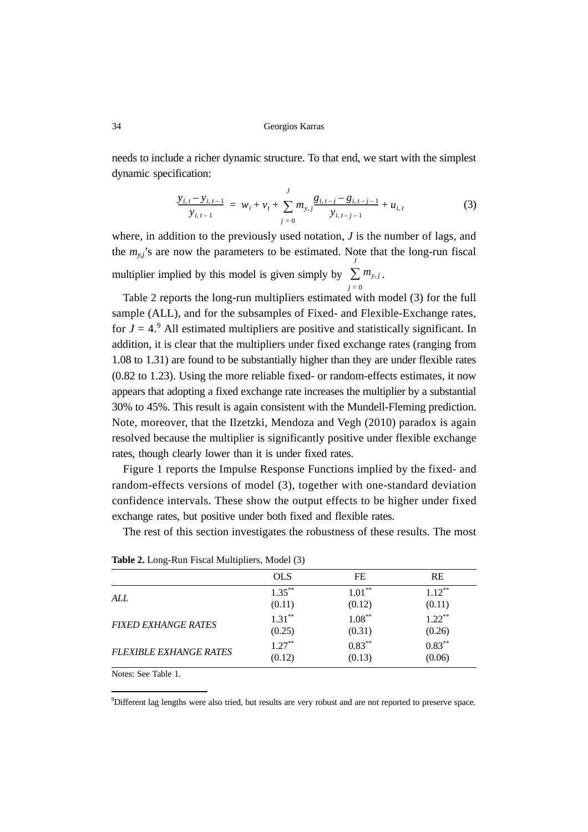needs to include a richer dynamic structure. To that end, we start with the simplest dynamic specification:

$$
\frac{y_{i,t} - y_{i,t-1}}{y_{i,t-1}} = w_i + v_t + \sum_{j=0}^{J} m_{y,j} \frac{g_{i,t-j} - g_{i,t-j-1}}{y_{i,t-j-1}} + u_{i,t}
$$
(3)

where, in addition to the previously used notation, *J* is the number of lags, and the  $m_{y,j}$ 's are now the parameters to be estimated. Note that the long-run fiscal multiplier implied by this model is given simply by  $\sum m_{y,j}$ . *j* = 0

Table 2 reports the long-run multipliers estimated with model (3) for the full sample (ALL), and for the subsamples of Fixed- and Flexible-Exchange rates, for  $J = 4$ <sup>o</sup>. All estimated multipliers are positive and statistically significant. In addition, it is clear that the multipliers under fixed exchange rates (ranging from 1.08 to 1.31) are found to be substantially higher than they are under flexible rates (0.82 to 1.23). Using the more reliable fixed- or random-effects estimates, it now appears that adopting a fixed exchange rate increases the multiplier by a substantial 30% to 45%. This result is again consistent with the Mundell-Fleming prediction. Note, moreover, that the Ilzetzki, Mendoza and Vegh (2010) paradox is again resolved because the multiplier is significantly positive under flexible exchange rates, though clearly lower than it is under fixed rates.

Figure 1 reports the Impulse Response Functions implied by the fixed- and random-effects versions of model (3), together with one-standard deviation confidence intervals. These show the output effects to be higher under fixed exchange rates, but positive under both fixed and flexible rates.

The rest of this section investigates the robustness of these results. The most

|                               | <b>OLS</b> | FE        | <b>RE</b> |
|-------------------------------|------------|-----------|-----------|
| ALL                           | $1.35***$  | $1.01***$ | $1.12***$ |
|                               | (0.11)     | (0.12)    | (0.11)    |
| <b>FIXED EXHANGE RATES</b>    | $1.31***$  | $1.08***$ | $1.22***$ |
|                               | (0.25)     | (0.31)    | (0.26)    |
| <b>FLEXIBLE EXHANGE RATES</b> | $1.27**$   | $0.83***$ | $0.83***$ |
|                               | (0.12)     | (0.13)    | (0.06)    |
|                               |            |           |           |

**Table 2.** Long-Run Fiscal Multipliers, Model (3)

Notes: See Table 1.

9 Different lag lengths were also tried, but results are very robust and are not reported to preserve space.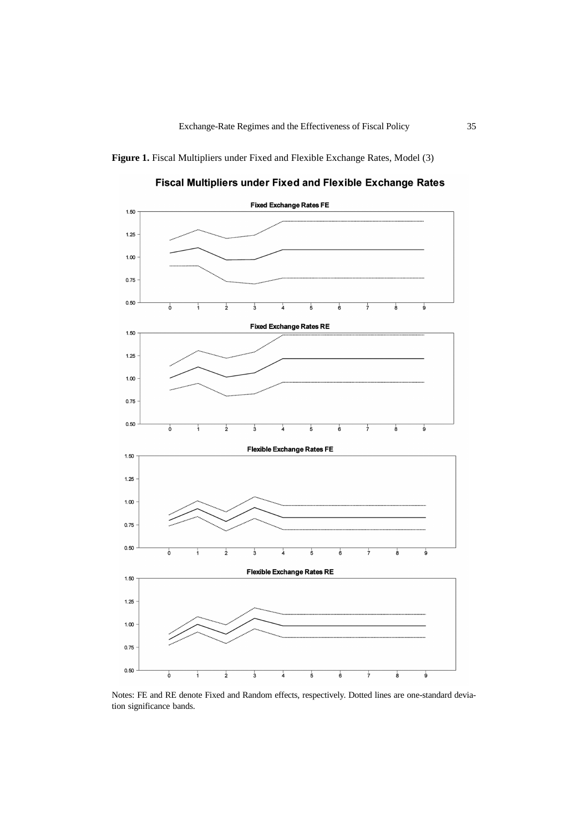

Fiscal Multipliers under Fixed and Flexible Exchange Rates



Notes: FE and RE denote Fixed and Random effects, respectively. Dotted lines are one-standard deviation significance bands.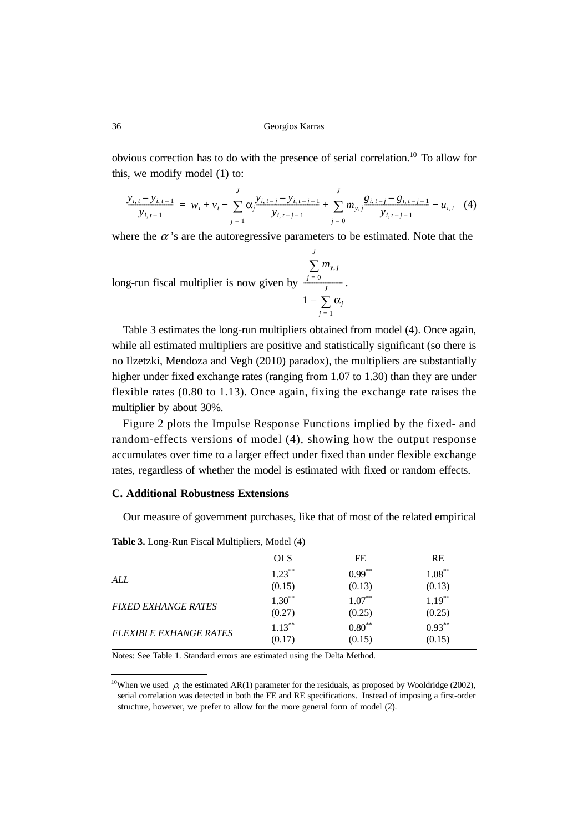obvious correction has to do with the presence of serial correlation.10 To allow for this, we modify model (1) to:

$$
\frac{y_{i,t} - y_{i,t-1}}{y_{i,t-1}} = w_i + v_t + \sum_{j=1}^{J} \alpha_j \frac{y_{i,t-j} - y_{i,t-j-1}}{y_{i,t-j-1}} + \sum_{j=0}^{J} m_{y,j} \frac{g_{i,t-j} - g_{i,t-j-1}}{y_{i,t-j-1}} + u_{i,t} \quad (4)
$$

where the  $\alpha$ 's are the autoregressive parameters to be estimated. Note that the

long-run fiscal multiplier is now given by  $\frac{1-\theta}{\theta}$ .  $m_{y, j}$ *j* = 0 *J* ∑  $1 - \sum \alpha_j$ *j* = 1  $\frac{J=0}{J}$ – ∑

Table 3 estimates the long-run multipliers obtained from model (4). Once again, while all estimated multipliers are positive and statistically significant (so there is no Ilzetzki, Mendoza and Vegh (2010) paradox), the multipliers are substantially higher under fixed exchange rates (ranging from 1.07 to 1.30) than they are under flexible rates (0.80 to 1.13). Once again, fixing the exchange rate raises the multiplier by about 30%.

Figure 2 plots the Impulse Response Functions implied by the fixed- and random-effects versions of model (4), showing how the output response accumulates over time to a larger effect under fixed than under flexible exchange rates, regardless of whether the model is estimated with fixed or random effects.

#### **C. Additional Robustness Extensions**

Our measure of government purchases, like that of most of the related empirical

| ຼ                             |            |           |           |
|-------------------------------|------------|-----------|-----------|
|                               | <b>OLS</b> | FE        | <b>RE</b> |
| ALL                           | $1.23***$  | $0.99***$ | $1.08***$ |
|                               | (0.15)     | (0.13)    | (0.13)    |
| <b>FIXED EXHANGE RATES</b>    | $1.30**$   | $1.07***$ | $1.19***$ |
|                               | (0.27)     | (0.25)    | (0.25)    |
| <b>FLEXIBLE EXHANGE RATES</b> | $1.13***$  | $0.80**$  | $0.93***$ |
|                               | (0.17)     | (0.15)    | (0.15)    |
|                               |            |           |           |

**Table 3.** Long-Run Fiscal Multipliers, Model (4)

Notes: See Table 1. Standard errors are estimated using the Delta Method.

<sup>&</sup>lt;sup>10</sup>When we used  $\rho$ , the estimated AR(1) parameter for the residuals, as proposed by Wooldridge (2002), serial correlation was detected in both the FE and RE specifications. Instead of imposing a first-order structure, however, we prefer to allow for the more general form of model (2).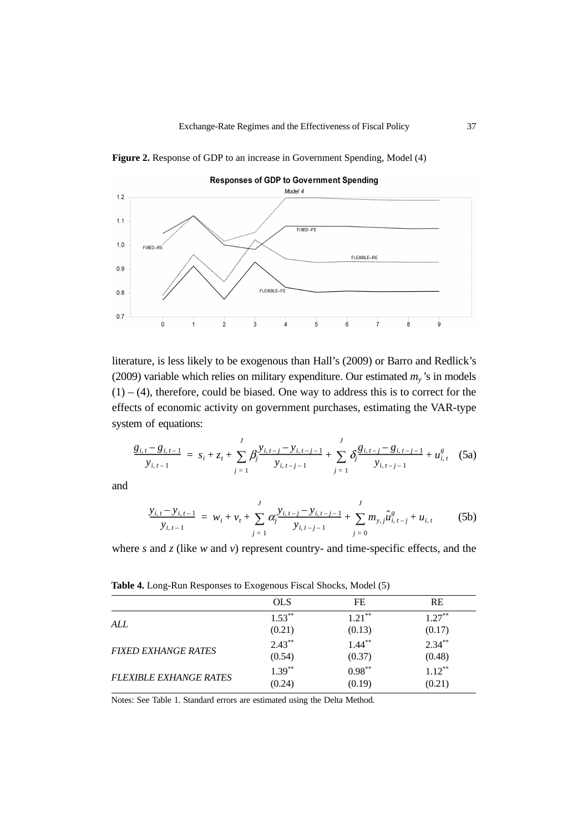

Figure 2. Response of GDP to an increase in Government Spending, Model (4)

literature, is less likely to be exogenous than Hall's (2009) or Barro and Redlick's (2009) variable which relies on military expenditure. Our estimated  $m_y$ 's in models  $(1) - (4)$ , therefore, could be biased. One way to address this is to correct for the effects of economic activity on government purchases, estimating the VAR-type system of equations:

$$
\frac{g_{i,t} - g_{i,t-1}}{y_{i,t-1}} = s_i + z_t + \sum_{j=1}^J \beta_j \frac{y_{i,t-j} - y_{i,t-j-1}}{y_{i,t-j-1}} + \sum_{j=1}^J \delta_j \frac{g_{i,t-j} - g_{i,t-j-1}}{y_{i,t-j-1}} + u_{i,t}^g
$$
 (5a)

and

$$
\frac{y_{i,t} - y_{i,t-1}}{y_{i,t-1}} = w_i + v_t + \sum_{j=1}^{J} \alpha_j \frac{y_{i,t-j} - y_{i,t-j-1}}{y_{i,t-j-1}} + \sum_{j=0}^{J} m_{y,j} \hat{u}_{i,t-j}^g + u_{i,t} \tag{5b}
$$

where *s* and *z* (like *w* and *v*) represent country- and time-specific effects, and the

**Table 4.** Long-Run Responses to Exogenous Fiscal Shocks, Model (5)

|                               | <b>OLS</b> | FE        | <b>RE</b> |
|-------------------------------|------------|-----------|-----------|
| ALL                           | $1.53***$  | $1.21***$ | $1.27***$ |
|                               | (0.21)     | (0.13)    |           |
|                               | $2.43***$  | $1.44***$ | $2.34***$ |
| <b>FIXED EXHANGE RATES</b>    | (0.54)     | (0.37)    | (0.48)    |
|                               | $1.39***$  | $0.98***$ | $1.12***$ |
| <b>FLEXIBLE EXHANGE RATES</b> | (0.24)     | (0.19)    | (0.21)    |
|                               |            |           |           |

Notes: See Table 1. Standard errors are estimated using the Delta Method.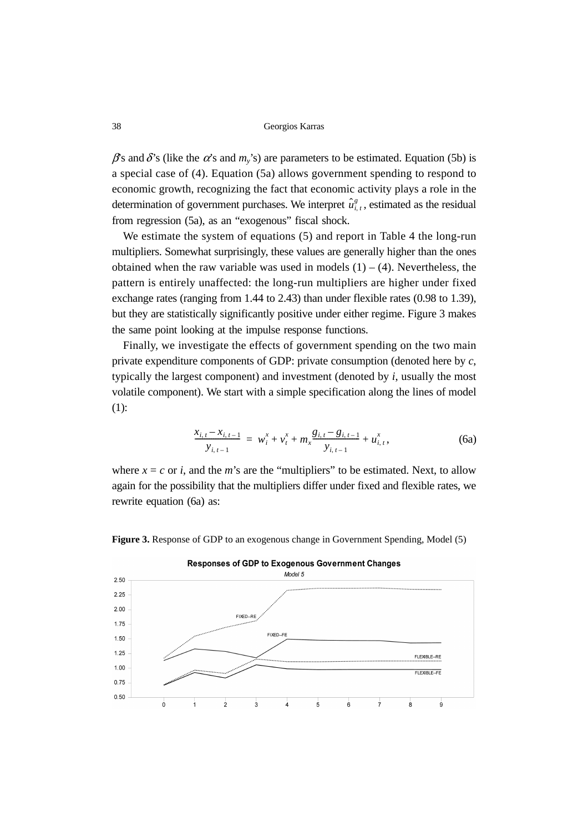$\beta$ s and  $\delta$ 's (like the  $\alpha$ 's and  $m_v$ 's) are parameters to be estimated. Equation (5b) is a special case of (4). Equation (5a) allows government spending to respond to economic growth, recognizing the fact that economic activity plays a role in the determination of government purchases. We interpret  $\hat{u}_{i,t}^g$ , estimated as the residual from regression (5a), as an "exogenous" fiscal shock.

We estimate the system of equations (5) and report in Table 4 the long-run multipliers. Somewhat surprisingly, these values are generally higher than the ones obtained when the raw variable was used in models  $(1) - (4)$ . Nevertheless, the pattern is entirely unaffected: the long-run multipliers are higher under fixed exchange rates (ranging from 1.44 to 2.43) than under flexible rates (0.98 to 1.39), but they are statistically significantly positive under either regime. Figure 3 makes the same point looking at the impulse response functions.

Finally, we investigate the effects of government spending on the two main private expenditure components of GDP: private consumption (denoted here by *c*, typically the largest component) and investment (denoted by *i*, usually the most volatile component). We start with a simple specification along the lines of model (1):

$$
\frac{x_{i,t} - x_{i,t-1}}{y_{i,t-1}} = w_i^x + v_t^x + m_x \frac{g_{i,t} - g_{i,t-1}}{y_{i,t-1}} + u_{i,t}^x,
$$
\n(6a)

where  $x = c$  or *i*, and the *m*'s are the "multipliers" to be estimated. Next, to allow again for the possibility that the multipliers differ under fixed and flexible rates, we rewrite equation (6a) as:



**Figure 3.** Response of GDP to an exogenous change in Government Spending, Model (5)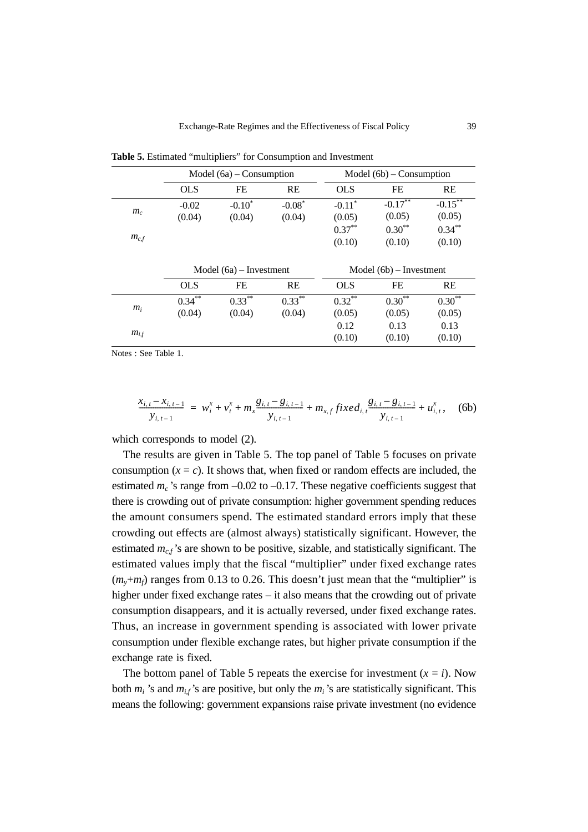|           |                           | Model $(6a)$ – Consumption |           |                         | Model (6b) – Consumption |            |  |
|-----------|---------------------------|----------------------------|-----------|-------------------------|--------------------------|------------|--|
|           | <b>OLS</b>                | FE                         | <b>RE</b> | <b>OLS</b>              | FE                       | RE         |  |
| $m_c$     | $-0.02$                   | $-0.10^*$                  | $-0.08*$  | $-0.11$ <sup>*</sup>    | $-0.17***$               | $-0.15***$ |  |
|           | (0.04)                    | (0.04)                     | (0.04)    | (0.05)                  | (0.05)                   | (0.05)     |  |
|           |                           |                            |           | $0.37***$               | $0.30**$                 | $0.34***$  |  |
| $m_{c,f}$ |                           |                            |           | (0.10)                  | (0.10)                   | (0.10)     |  |
|           |                           |                            |           |                         |                          |            |  |
|           | Model $(6a)$ – Investment |                            |           | Model (6b) – Investment |                          |            |  |
|           | <b>OLS</b>                | FE                         | <b>RE</b> | <b>OLS</b>              | FE                       | <b>RE</b>  |  |
|           | $0.34***$                 | $0.33***$                  | $0.33***$ | $0.32***$               | $0.30***$                | $0.30***$  |  |
| $m_i$     |                           |                            |           |                         |                          |            |  |
|           | (0.04)                    | (0.04)                     | (0.04)    | (0.05)                  | (0.05)                   | (0.05)     |  |
| $m_{i,f}$ |                           |                            |           | 0.12                    | 0.13                     | 0.13       |  |

**Table 5.** Estimated "multipliers" for Consumption and Investment

Notes : See Table 1.

$$
\frac{x_{i,t} - x_{i,t-1}}{y_{i,t-1}} = w_i^x + v_t^x + m_x \frac{g_{i,t} - g_{i,t-1}}{y_{i,t-1}} + m_{x,f} fixed_{i,t} \frac{g_{i,t} - g_{i,t-1}}{y_{i,t-1}} + u_{i,t}^x, \quad (6b)
$$

which corresponds to model (2).

The results are given in Table 5. The top panel of Table 5 focuses on private consumption  $(x = c)$ . It shows that, when fixed or random effects are included, the estimated  $m_c$ 's range from  $-0.02$  to  $-0.17$ . These negative coefficients suggest that there is crowding out of private consumption: higher government spending reduces the amount consumers spend. The estimated standard errors imply that these crowding out effects are (almost always) statistically significant. However, the estimated  $m_{cf}$ 's are shown to be positive, sizable, and statistically significant. The estimated values imply that the fiscal "multiplier" under fixed exchange rates  $(m_v+m_f)$  ranges from 0.13 to 0.26. This doesn't just mean that the "multiplier" is higher under fixed exchange rates – it also means that the crowding out of private consumption disappears, and it is actually reversed, under fixed exchange rates. Thus, an increase in government spending is associated with lower private consumption under flexible exchange rates, but higher private consumption if the exchange rate is fixed.

The bottom panel of Table 5 repeats the exercise for investment  $(x = i)$ . Now both  $m_i$  's and  $m_{if}$ 's are positive, but only the  $m_i$ 's are statistically significant. This means the following: government expansions raise private investment (no evidence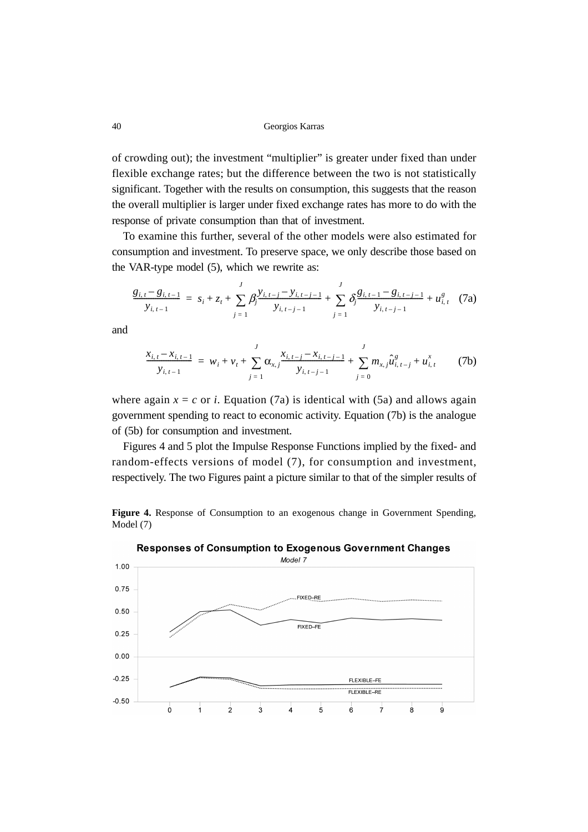of crowding out); the investment "multiplier" is greater under fixed than under flexible exchange rates; but the difference between the two is not statistically significant. Together with the results on consumption, this suggests that the reason the overall multiplier is larger under fixed exchange rates has more to do with the response of private consumption than that of investment.

To examine this further, several of the other models were also estimated for consumption and investment. To preserve space, we only describe those based on the VAR-type model (5), which we rewrite as:

$$
\frac{g_{i,t} - g_{i,t-1}}{y_{i,t-1}} = s_i + z_t + \sum_{j=1}^{J} \beta_j \frac{y_{i,t-j} - y_{i,t-j-1}}{y_{i,t-j-1}} + \sum_{j=1}^{J} \delta_j \frac{g_{i,t-1} - g_{i,t-j-1}}{y_{i,t-j-1}} + u_{i,t}^g
$$
(7a)

and

$$
\frac{x_{i,t} - x_{i,t-1}}{y_{i,t-1}} = w_i + v_t + \sum_{j=1}^{J} \alpha_{x,j} \frac{x_{i,t-j} - x_{i,t-j-1}}{y_{i,t-j-1}} + \sum_{j=0}^{J} m_{x,j} \hat{u}_{i,t-j}^g + u_{i,t}^x \tag{7b}
$$

where again  $x = c$  or *i*. Equation (7a) is identical with (5a) and allows again government spending to react to economic activity. Equation (7b) is the analogue of (5b) for consumption and investment.

Figures 4 and 5 plot the Impulse Response Functions implied by the fixed- and random-effects versions of model (7), for consumption and investment, respectively. The two Figures paint a picture similar to that of the simpler results of

**Figure 4.** Response of Consumption to an exogenous change in Government Spending, Model (7)



**Responses of Consumption to Exogenous Government Changes**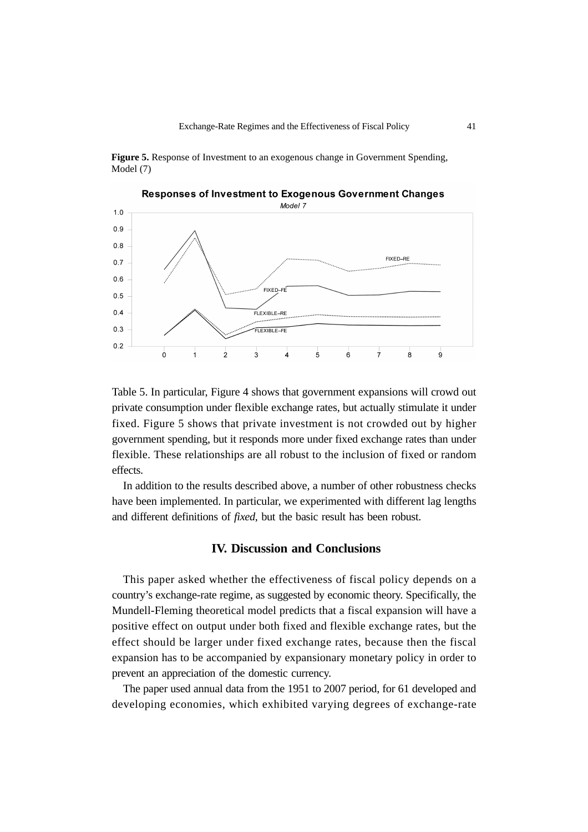**Figure 5.** Response of Investment to an exogenous change in Government Spending, Model (7)



Table 5. In particular, Figure 4 shows that government expansions will crowd out private consumption under flexible exchange rates, but actually stimulate it under fixed. Figure 5 shows that private investment is not crowded out by higher government spending, but it responds more under fixed exchange rates than under flexible. These relationships are all robust to the inclusion of fixed or random

In addition to the results described above, a number of other robustness checks have been implemented. In particular, we experimented with different lag lengths and different definitions of *fixed*, but the basic result has been robust.

effects.

#### **IV. Discussion and Conclusions**

This paper asked whether the effectiveness of fiscal policy depends on a country's exchange-rate regime, as suggested by economic theory. Specifically, the Mundell-Fleming theoretical model predicts that a fiscal expansion will have a positive effect on output under both fixed and flexible exchange rates, but the effect should be larger under fixed exchange rates, because then the fiscal expansion has to be accompanied by expansionary monetary policy in order to prevent an appreciation of the domestic currency.

The paper used annual data from the 1951 to 2007 period, for 61 developed and developing economies, which exhibited varying degrees of exchange-rate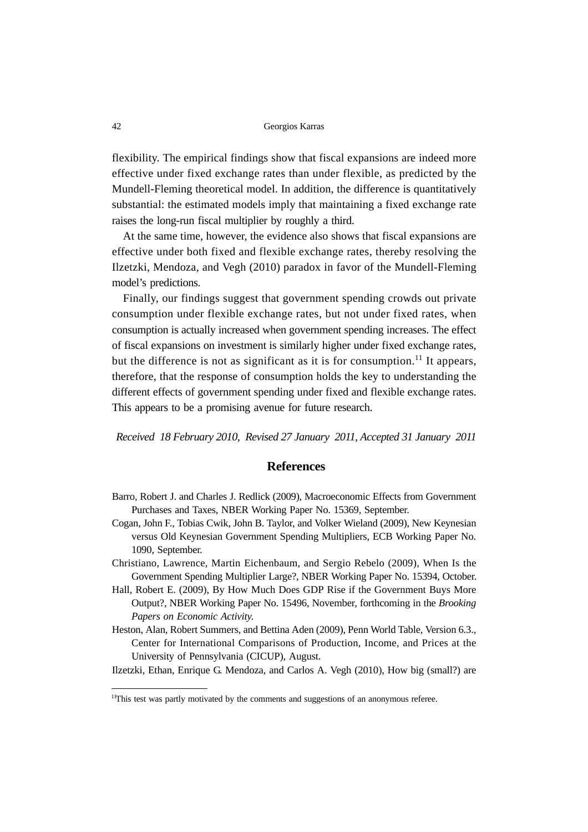flexibility. The empirical findings show that fiscal expansions are indeed more effective under fixed exchange rates than under flexible, as predicted by the Mundell-Fleming theoretical model. In addition, the difference is quantitatively substantial: the estimated models imply that maintaining a fixed exchange rate raises the long-run fiscal multiplier by roughly a third.

At the same time, however, the evidence also shows that fiscal expansions are effective under both fixed and flexible exchange rates, thereby resolving the Ilzetzki, Mendoza, and Vegh (2010) paradox in favor of the Mundell-Fleming model's predictions.

Finally, our findings suggest that government spending crowds out private consumption under flexible exchange rates, but not under fixed rates, when consumption is actually increased when government spending increases. The effect of fiscal expansions on investment is similarly higher under fixed exchange rates, but the difference is not as significant as it is for consumption.<sup>11</sup> It appears, therefore, that the response of consumption holds the key to understanding the different effects of government spending under fixed and flexible exchange rates. This appears to be a promising avenue for future research.

*Received 18 February 2010, Revised 27 January 2011, Accepted 31 January 2011*

#### **References**

- Barro, Robert J. and Charles J. Redlick (2009), Macroeconomic Effects from Government Purchases and Taxes, NBER Working Paper No. 15369, September.
- Cogan, John F., Tobias Cwik, John B. Taylor, and Volker Wieland (2009), New Keynesian versus Old Keynesian Government Spending Multipliers, ECB Working Paper No. 1090, September.
- Christiano, Lawrence, Martin Eichenbaum, and Sergio Rebelo (2009), When Is the Government Spending Multiplier Large?, NBER Working Paper No. 15394, October.
- Hall, Robert E. (2009), By How Much Does GDP Rise if the Government Buys More Output?, NBER Working Paper No. 15496, November, forthcoming in the *Brooking Papers on Economic Activity*.
- Heston, Alan, Robert Summers, and Bettina Aden (2009), Penn World Table, Version 6.3., Center for International Comparisons of Production, Income, and Prices at the University of Pennsylvania (CICUP), August.
- Ilzetzki, Ethan, Enrique G. Mendoza, and Carlos A. Vegh (2010), How big (small?) are

 $11$ This test was partly motivated by the comments and suggestions of an anonymous referee.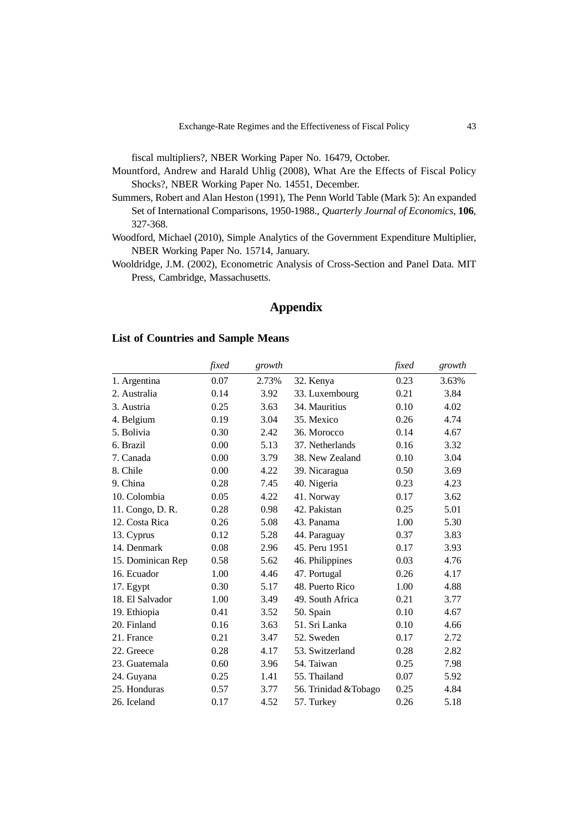fiscal multipliers?, NBER Working Paper No. 16479, October.

- Mountford, Andrew and Harald Uhlig (2008), What Are the Effects of Fiscal Policy Shocks?, NBER Working Paper No. 14551, December.
- Summers, Robert and Alan Heston (1991), The Penn World Table (Mark 5): An expanded Set of International Comparisons, 1950-1988., *Quarterly Journal of Economics*, **106**, 327-368.
- Woodford, Michael (2010), Simple Analytics of the Government Expenditure Multiplier, NBER Working Paper No. 15714, January.
- Wooldridge, J.M. (2002), Econometric Analysis of Cross-Section and Panel Data. MIT Press, Cambridge, Massachusetts.

# **Appendix**

#### **List of Countries and Sample Means**

|                   | fixed | growth |                       | fixed | growth |
|-------------------|-------|--------|-----------------------|-------|--------|
| 1. Argentina      | 0.07  | 2.73%  | 32. Kenya             | 0.23  | 3.63%  |
| 2. Australia      | 0.14  | 3.92   | 33. Luxembourg        | 0.21  | 3.84   |
| 3. Austria        | 0.25  | 3.63   | 34. Mauritius         | 0.10  | 4.02   |
| 4. Belgium        | 0.19  | 3.04   | 35. Mexico            | 0.26  | 4.74   |
| 5. Bolivia        | 0.30  | 2.42   | 36. Morocco           | 0.14  | 4.67   |
| 6. Brazil         | 0.00  | 5.13   | 37. Netherlands       | 0.16  | 3.32   |
| 7. Canada         | 0.00  | 3.79   | 38. New Zealand       | 0.10  | 3.04   |
| 8. Chile          | 0.00  | 4.22   | 39. Nicaragua         | 0.50  | 3.69   |
| 9. China          | 0.28  | 7.45   | 40. Nigeria           | 0.23  | 4.23   |
| 10. Colombia      | 0.05  | 4.22   | 41. Norway            | 0.17  | 3.62   |
| 11. Congo, D. R.  | 0.28  | 0.98   | 42. Pakistan          | 0.25  | 5.01   |
| 12. Costa Rica    | 0.26  | 5.08   | 43. Panama            | 1.00  | 5.30   |
| 13. Cyprus        | 0.12  | 5.28   | 44. Paraguay          | 0.37  | 3.83   |
| 14. Denmark       | 0.08  | 2.96   | 45. Peru 1951         | 0.17  | 3.93   |
| 15. Dominican Rep | 0.58  | 5.62   | 46. Philippines       | 0.03  | 4.76   |
| 16. Ecuador       | 1.00  | 4.46   | 47. Portugal          | 0.26  | 4.17   |
| 17. Egypt         | 0.30  | 5.17   | 48. Puerto Rico       | 1.00  | 4.88   |
| 18. El Salvador   | 1.00  | 3.49   | 49. South Africa      | 0.21  | 3.77   |
| 19. Ethiopia      | 0.41  | 3.52   | 50. Spain             | 0.10  | 4.67   |
| 20. Finland       | 0.16  | 3.63   | 51. Sri Lanka         | 0.10  | 4.66   |
| 21. France        | 0.21  | 3.47   | 52. Sweden            | 0.17  | 2.72   |
| 22. Greece        | 0.28  | 4.17   | 53. Switzerland       | 0.28  | 2.82   |
| 23. Guatemala     | 0.60  | 3.96   | 54. Taiwan            | 0.25  | 7.98   |
| 24. Guyana        | 0.25  | 1.41   | 55. Thailand          | 0.07  | 5.92   |
| 25. Honduras      | 0.57  | 3.77   | 56. Trinidad & Tobago | 0.25  | 4.84   |
| 26. Iceland       | 0.17  | 4.52   | 57. Turkey            | 0.26  | 5.18   |